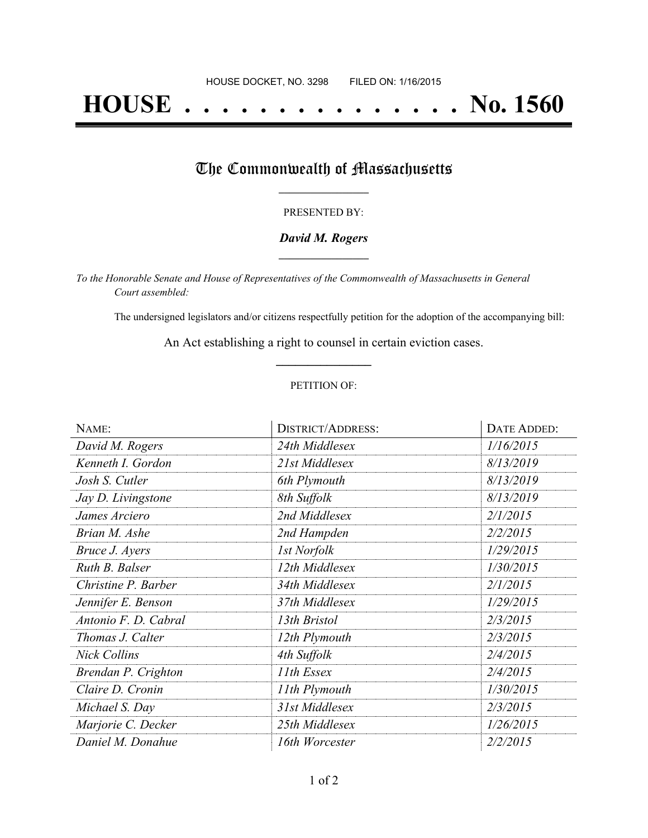# **HOUSE . . . . . . . . . . . . . . . No. 1560**

## The Commonwealth of Massachusetts

#### PRESENTED BY:

#### *David M. Rogers* **\_\_\_\_\_\_\_\_\_\_\_\_\_\_\_\_\_**

*To the Honorable Senate and House of Representatives of the Commonwealth of Massachusetts in General Court assembled:*

The undersigned legislators and/or citizens respectfully petition for the adoption of the accompanying bill:

An Act establishing a right to counsel in certain eviction cases. **\_\_\_\_\_\_\_\_\_\_\_\_\_\_\_**

#### PETITION OF:

| NAME:                | <b>DISTRICT/ADDRESS:</b> | DATE ADDED: |
|----------------------|--------------------------|-------------|
| David M. Rogers      | 24th Middlesex           | 1/16/2015   |
| Kenneth I. Gordon    | 21st Middlesex           | 8/13/2019   |
| Josh S. Cutler       | 6th Plymouth             | 8/13/2019   |
| Jay D. Livingstone   | 8th Suffolk              | 8/13/2019   |
| James Arciero        | 2nd Middlesex            | 2/1/2015    |
| Brian M. Ashe        | 2nd Hampden              | 2/2/2015    |
| Bruce J. Ayers       | <b>Ist Norfolk</b>       | 1/29/2015   |
| Ruth B. Balser       | 12th Middlesex           | 1/30/2015   |
| Christine P. Barber  | 34th Middlesex           | 2/1/2015    |
| Jennifer E. Benson   | 37th Middlesex           | 1/29/2015   |
| Antonio F. D. Cabral | 13th Bristol             | 2/3/2015    |
| Thomas J. Calter     | 12th Plymouth            | 2/3/2015    |
| <b>Nick Collins</b>  | 4th Suffolk              | 2/4/2015    |
| Brendan P. Crighton  | 11th Essex               | 2/4/2015    |
| Claire D. Cronin     | 11th Plymouth            | 1/30/2015   |
| Michael S. Day       | 31st Middlesex           | 2/3/2015    |
| Marjorie C. Decker   | 25th Middlesex           | 1/26/2015   |
| Daniel M. Donahue    | 16th Worcester           | 2/2/2015    |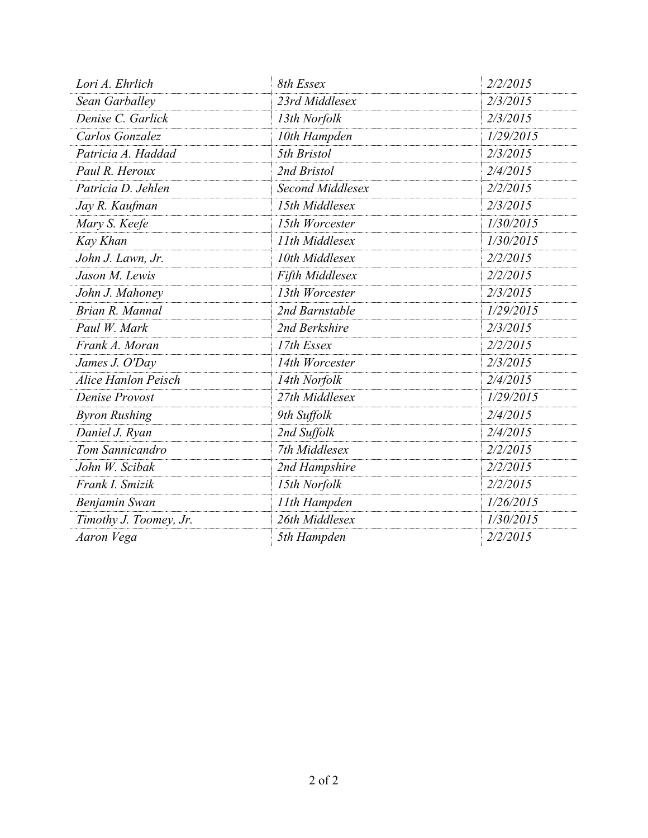| Lori A. Ehrlich            | 8th Essex        | 2/2/2015  |
|----------------------------|------------------|-----------|
| Sean Garballey             | 23rd Middlesex   | 2/3/2015  |
| Denise C. Garlick          | 13th Norfolk     | 2/3/2015  |
| Carlos Gonzalez            | 10th Hampden     | 1/29/2015 |
| Patricia A. Haddad         | 5th Bristol      | 2/3/2015  |
| Paul R. Heroux             | 2nd Bristol      | 2/4/2015  |
| Patricia D. Jehlen         | Second Middlesex | 2/2/2015  |
| Jay R. Kaufman             | 15th Middlesex   | 2/3/2015  |
| Mary S. Keefe              | 15th Worcester   | 1/30/2015 |
| Kay Khan                   | 11th Middlesex   | 1/30/2015 |
| John J. Lawn, Jr.          | 10th Middlesex   | 2/2/2015  |
| Jason M. Lewis             | Fifth Middlesex  | 2/2/2015  |
| John J. Mahoney            | 13th Worcester   | 2/3/2015  |
| Brian R. Mannal            | 2nd Barnstable   | 1/29/2015 |
| Paul W. Mark               | 2nd Berkshire    | 2/3/2015  |
| Frank A. Moran             | 17th Essex       | 2/2/2015  |
| James J. O'Day             | 14th Worcester   | 2/3/2015  |
| <b>Alice Hanlon Peisch</b> | 14th Norfolk     | 2/4/2015  |
| Denise Provost             | 27th Middlesex   | 1/29/2015 |
| <b>Byron Rushing</b>       | 9th Suffolk      | 2/4/2015  |
| Daniel J. Ryan             | 2nd Suffolk      | 2/4/2015  |
| Tom Sannicandro            | 7th Middlesex    | 2/2/2015  |
| John W. Scibak             | 2nd Hampshire    | 2/2/2015  |
| Frank I. Smizik            | 15th Norfolk     | 2/2/2015  |
| Benjamin Swan              | 11th Hampden     | 1/26/2015 |
| Timothy J. Toomey, Jr.     | 26th Middlesex   | 1/30/2015 |
| Aaron Vega                 | 5th Hampden      | 2/2/2015  |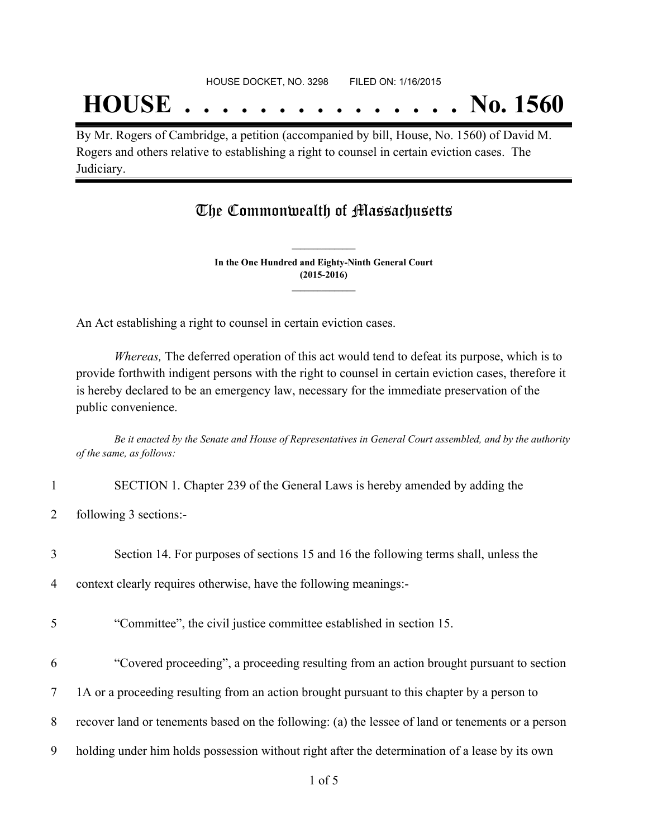# **HOUSE . . . . . . . . . . . . . . . No. 1560**

By Mr. Rogers of Cambridge, a petition (accompanied by bill, House, No. 1560) of David M. Rogers and others relative to establishing a right to counsel in certain eviction cases. The Judiciary.

### The Commonwealth of Massachusetts

**In the One Hundred and Eighty-Ninth General Court (2015-2016) \_\_\_\_\_\_\_\_\_\_\_\_\_\_\_**

**\_\_\_\_\_\_\_\_\_\_\_\_\_\_\_**

An Act establishing a right to counsel in certain eviction cases.

*Whereas,* The deferred operation of this act would tend to defeat its purpose, which is to provide forthwith indigent persons with the right to counsel in certain eviction cases, therefore it is hereby declared to be an emergency law, necessary for the immediate preservation of the public convenience.

Be it enacted by the Senate and House of Representatives in General Court assembled, and by the authority *of the same, as follows:*

- 1 SECTION 1. Chapter 239 of the General Laws is hereby amended by adding the
- 2 following 3 sections:-
- 3 Section 14. For purposes of sections 15 and 16 the following terms shall, unless the

4 context clearly requires otherwise, have the following meanings:-

- 5 "Committee", the civil justice committee established in section 15.
- 6 "Covered proceeding", a proceeding resulting from an action brought pursuant to section
- 7 1A or a proceeding resulting from an action brought pursuant to this chapter by a person to
- 8 recover land or tenements based on the following: (a) the lessee of land or tenements or a person
- 9 holding under him holds possession without right after the determination of a lease by its own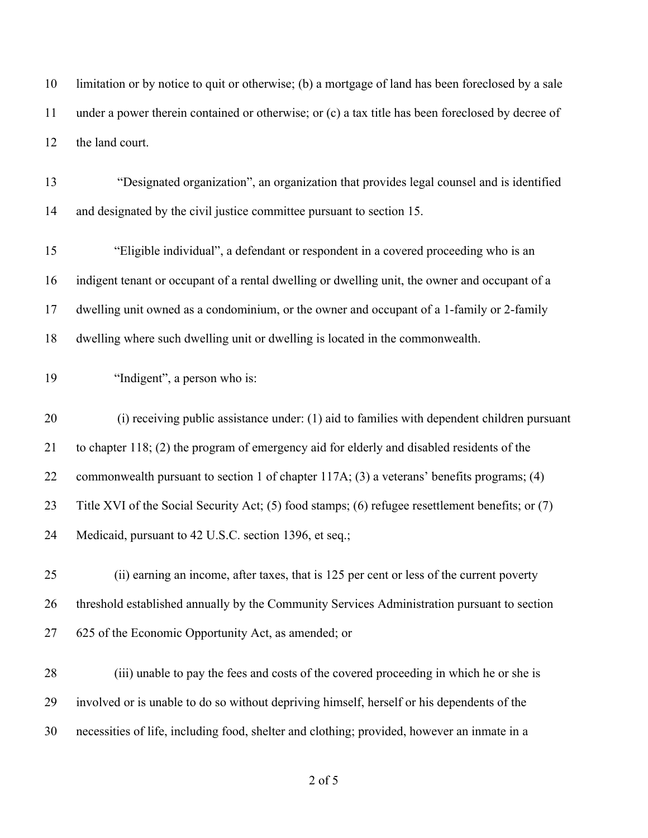limitation or by notice to quit or otherwise; (b) a mortgage of land has been foreclosed by a sale under a power therein contained or otherwise; or (c) a tax title has been foreclosed by decree of the land court.

 "Designated organization", an organization that provides legal counsel and is identified and designated by the civil justice committee pursuant to section 15.

 "Eligible individual", a defendant or respondent in a covered proceeding who is an indigent tenant or occupant of a rental dwelling or dwelling unit, the owner and occupant of a dwelling unit owned as a condominium, or the owner and occupant of a 1-family or 2-family dwelling where such dwelling unit or dwelling is located in the commonwealth.

"Indigent", a person who is:

 (i) receiving public assistance under: (1) aid to families with dependent children pursuant to chapter 118; (2) the program of emergency aid for elderly and disabled residents of the commonwealth pursuant to section 1 of chapter 117A; (3) a veterans' benefits programs; (4) Title XVI of the Social Security Act; (5) food stamps; (6) refugee resettlement benefits; or (7) Medicaid, pursuant to 42 U.S.C. section 1396, et seq.;

 (ii) earning an income, after taxes, that is 125 per cent or less of the current poverty threshold established annually by the Community Services Administration pursuant to section 625 of the Economic Opportunity Act, as amended; or

 (iii) unable to pay the fees and costs of the covered proceeding in which he or she is involved or is unable to do so without depriving himself, herself or his dependents of the necessities of life, including food, shelter and clothing; provided, however an inmate in a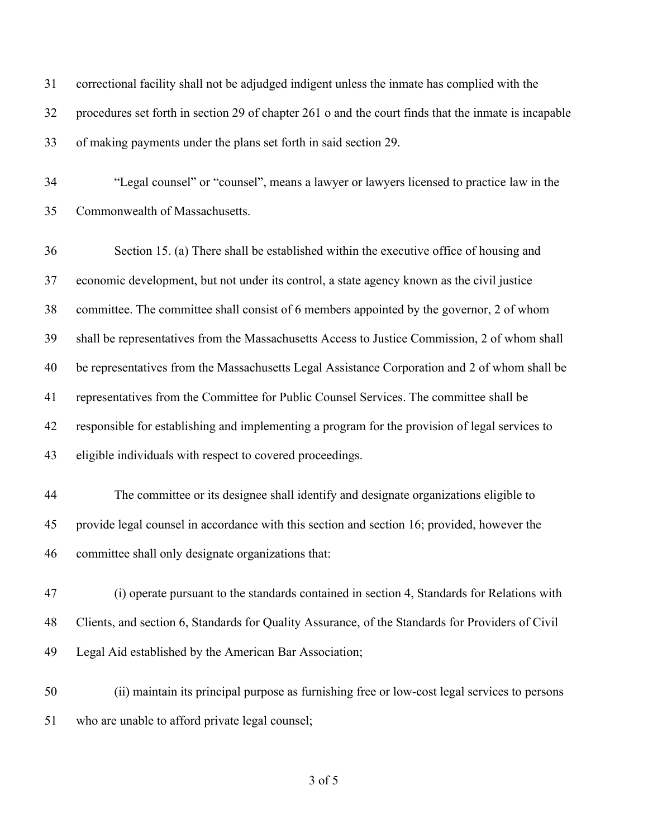| 31 | correctional facility shall not be adjudged indigent unless the inmate has complied with the         |
|----|------------------------------------------------------------------------------------------------------|
| 32 | procedures set forth in section 29 of chapter 261 o and the court finds that the inmate is incapable |
| 33 | of making payments under the plans set forth in said section 29.                                     |
| 34 | "Legal counsel" or "counsel", means a lawyer or lawyers licensed to practice law in the              |
| 35 | Commonwealth of Massachusetts.                                                                       |
| 36 | Section 15. (a) There shall be established within the executive office of housing and                |
| 37 | economic development, but not under its control, a state agency known as the civil justice           |
| 38 | committee. The committee shall consist of 6 members appointed by the governor, 2 of whom             |
| 39 | shall be representatives from the Massachusetts Access to Justice Commission, 2 of whom shall        |
| 40 | be representatives from the Massachusetts Legal Assistance Corporation and 2 of whom shall be        |
| 41 | representatives from the Committee for Public Counsel Services. The committee shall be               |
| 42 | responsible for establishing and implementing a program for the provision of legal services to       |
| 43 | eligible individuals with respect to covered proceedings.                                            |
| 44 | The committee or its designee shall identify and designate organizations eligible to                 |
| 45 | provide legal counsel in accordance with this section and section 16; provided, however the          |
| 46 | committee shall only designate organizations that:                                                   |
| 47 | (i) operate pursuant to the standards contained in section 4, Standards for Relations with           |
| 48 | Clients, and section 6, Standards for Quality Assurance, of the Standards for Providers of Civil     |
| 49 | Legal Aid established by the American Bar Association;                                               |
| 50 | (ii) maintain its principal purpose as furnishing free or low-cost legal services to persons         |
| 51 | who are unable to afford private legal counsel;                                                      |
|    |                                                                                                      |

of 5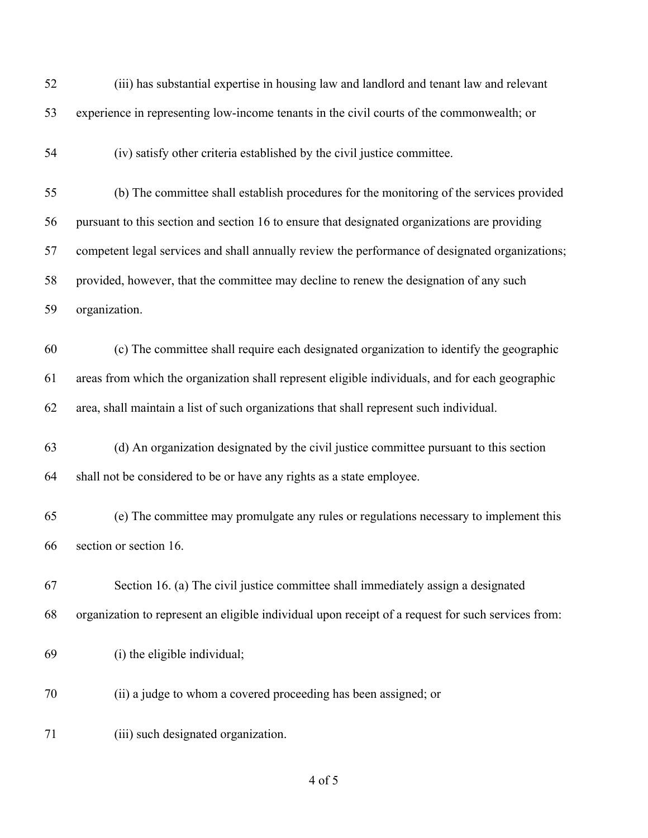| 52 | (iii) has substantial expertise in housing law and landlord and tenant law and relevant            |
|----|----------------------------------------------------------------------------------------------------|
| 53 | experience in representing low-income tenants in the civil courts of the commonwealth; or          |
| 54 | (iv) satisfy other criteria established by the civil justice committee.                            |
| 55 | (b) The committee shall establish procedures for the monitoring of the services provided           |
| 56 | pursuant to this section and section 16 to ensure that designated organizations are providing      |
| 57 | competent legal services and shall annually review the performance of designated organizations;    |
| 58 | provided, however, that the committee may decline to renew the designation of any such             |
| 59 | organization.                                                                                      |
| 60 | (c) The committee shall require each designated organization to identify the geographic            |
| 61 | areas from which the organization shall represent eligible individuals, and for each geographic    |
| 62 | area, shall maintain a list of such organizations that shall represent such individual.            |
| 63 | (d) An organization designated by the civil justice committee pursuant to this section             |
| 64 | shall not be considered to be or have any rights as a state employee.                              |
| 65 | (e) The committee may promulgate any rules or regulations necessary to implement this              |
| 66 | section or section 16.                                                                             |
| 67 | Section 16. (a) The civil justice committee shall immediately assign a designated                  |
| 68 | organization to represent an eligible individual upon receipt of a request for such services from: |
| 69 | (i) the eligible individual;                                                                       |
| 70 | (ii) a judge to whom a covered proceeding has been assigned; or                                    |
| 71 | (iii) such designated organization.                                                                |
|    |                                                                                                    |

of 5